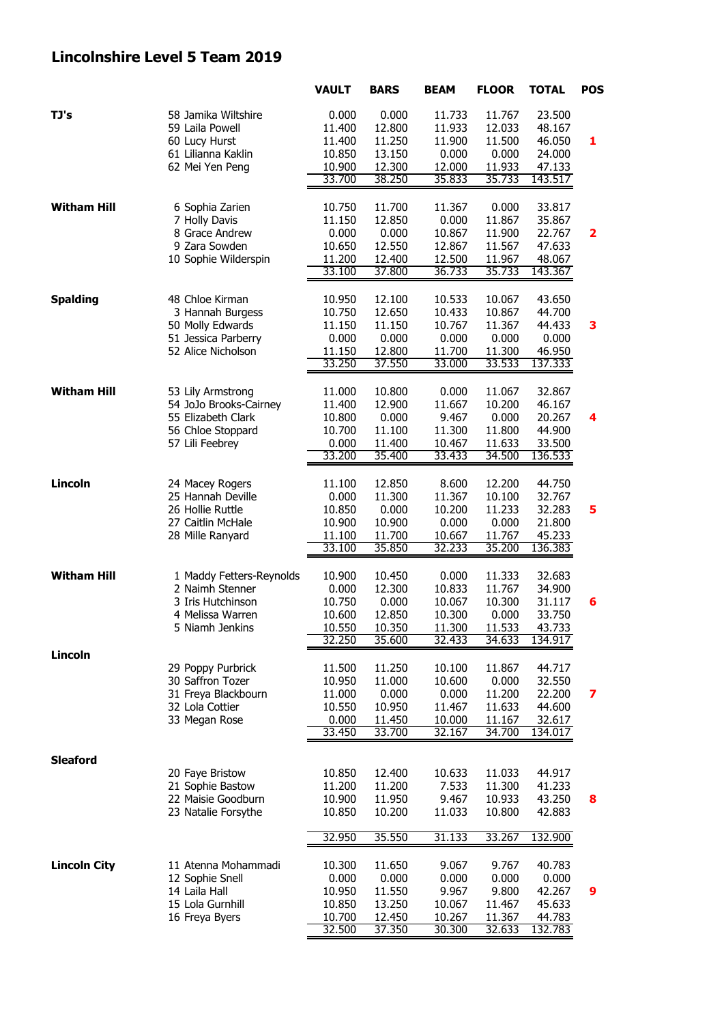## **Lincolnshire Level 5 Team 2019**

|                     |                                              | <b>VAULT</b>     | <b>BARS</b>      | <b>BEAM</b>      | <b>FLOOR</b>     | <b>TOTAL</b>      | <b>POS</b>              |
|---------------------|----------------------------------------------|------------------|------------------|------------------|------------------|-------------------|-------------------------|
| TJ's                | 58 Jamika Wiltshire                          | 0.000            | 0.000            | 11.733           | 11.767           | 23.500            |                         |
|                     | 59 Laila Powell                              | 11.400           | 12.800           | 11.933           | 12.033           | 48.167            |                         |
|                     | 60 Lucy Hurst                                | 11.400           | 11.250           | 11.900           | 11.500           | 46.050            | 1                       |
|                     | 61 Lilianna Kaklin                           | 10.850           | 13.150           | 0.000            | 0.000            | 24.000            |                         |
|                     | 62 Mei Yen Peng                              | 10.900           | 12.300           | 12.000           | 11.933           | 47.133            |                         |
|                     |                                              | 33.700           | 38.250           | 35.833           | 35.733           | 143.517           |                         |
| <b>Witham Hill</b>  | 6 Sophia Zarien                              | 10.750           | 11.700           | 11.367           | 0.000            | 33.817            |                         |
|                     | 7 Holly Davis                                | 11.150           | 12.850           | 0.000            | 11.867           | 35.867            |                         |
|                     | 8 Grace Andrew                               | 0.000            | 0.000            | 10.867           | 11.900           | 22.767            | $\overline{\mathbf{2}}$ |
|                     | 9 Zara Sowden                                | 10.650           | 12.550           | 12.867           | 11.567           | 47.633            |                         |
|                     | 10 Sophie Wilderspin                         | 11.200           | 12.400           | 12.500           | 11.967           | 48.067            |                         |
|                     |                                              | 33.100           | 37.800           | 36.733           | 35.733           | 143.367           |                         |
| <b>Spalding</b>     | 48 Chloe Kirman                              | 10.950           | 12.100           | 10.533           | 10.067           | 43.650            |                         |
|                     | 3 Hannah Burgess                             | 10.750           | 12.650           | 10.433           | 10.867           | 44.700            |                         |
|                     | 50 Molly Edwards                             | 11.150           | 11.150           | 10.767           | 11.367           | 44.433            | 3                       |
|                     | 51 Jessica Parberry                          | 0.000            | 0.000            | 0.000            | 0.000            | 0.000             |                         |
|                     | 52 Alice Nicholson                           | 11.150           | 12.800           | 11.700           | 11.300           | 46.950            |                         |
|                     |                                              | 33.250           | 37.550           | 33.000           | 33.533           | 137.333           |                         |
|                     |                                              |                  |                  |                  |                  |                   |                         |
| <b>Witham Hill</b>  | 53 Lily Armstrong                            | 11.000           | 10.800<br>12.900 | 0.000            | 11.067           | 32.867<br>46.167  |                         |
|                     | 54 JoJo Brooks-Cairney<br>55 Elizabeth Clark | 11.400<br>10.800 | 0.000            | 11.667<br>9.467  | 10.200<br>0.000  | 20.267            | 4                       |
|                     | 56 Chloe Stoppard                            | 10.700           | 11.100           | 11.300           | 11.800           | 44.900            |                         |
|                     | 57 Lili Feebrey                              | 0.000            | 11.400           | 10.467           | 11.633           | 33.500            |                         |
|                     |                                              | 33.200           | 35.400           | 33.433           | 34.500           | 136.533           |                         |
|                     |                                              |                  |                  |                  |                  |                   |                         |
| Lincoln             | 24 Macey Rogers                              | 11.100           | 12.850           | 8.600            | 12.200           | 44.750            |                         |
|                     | 25 Hannah Deville                            | 0.000            | 11.300           | 11.367           | 10.100           | 32.767            |                         |
|                     | 26 Hollie Ruttle                             | 10.850           | 0.000            | 10.200           | 11.233           | 32.283            | 5                       |
|                     | 27 Caitlin McHale                            | 10.900           | 10.900           | 0.000            | 0.000            | 21.800            |                         |
|                     | 28 Mille Ranyard                             | 11.100           | 11.700           | 10.667           | 11.767           | 45.233            |                         |
|                     |                                              | 33.100           | 35.850           | 32.233           | 35.200           | 136.383           |                         |
| <b>Witham Hill</b>  | 1 Maddy Fetters-Reynolds                     | 10.900           | 10.450           | 0.000            | 11.333           | 32.683            |                         |
|                     | 2 Naimh Stenner                              | 0.000            | 12.300           | 10.833           | 11.767           | 34.900            |                         |
|                     | 3 Iris Hutchinson                            | 10.750           | 0.000            | 10.067           | 10.300           | 31.117            | 6                       |
|                     | 4 Melissa Warren                             | 10.600           | 12.850           | 10.300           | 0.000            | 33.750            |                         |
|                     | 5 Niamh Jenkins                              | 10.550           | 10.350           | 11.300           | 11.533           | 43.733            |                         |
|                     |                                              | 32.250           | 35.600           | 32.433           | 34.633           | 134.917           |                         |
| Lincoln             | 29 Poppy Purbrick                            | 11.500           | 11.250           | 10.100           | 11.867           | 44.717            |                         |
|                     | 30 Saffron Tozer                             | 10.950           | 11.000           | 10.600           | 0.000            | 32.550            |                         |
|                     | 31 Freya Blackbourn                          | 11.000           | 0.000            | 0.000            | 11.200           | 22.200            | 7                       |
|                     | 32 Lola Cottier                              | 10.550           | 10.950           | 11.467           | 11.633           | 44.600            |                         |
|                     | 33 Megan Rose                                | 0.000            | 11.450           | 10.000           | 11.167           | 32.617            |                         |
|                     |                                              | 33.450           | 33.700           | 32.167           | 34.700           | 134.017           |                         |
| <b>Sleaford</b>     |                                              |                  |                  |                  |                  |                   |                         |
|                     | 20 Faye Bristow                              | 10.850           | 12.400           | 10.633           | 11.033           | 44.917            |                         |
|                     | 21 Sophie Bastow                             | 11.200           | 11.200           | 7.533            | 11.300           | 41.233            |                         |
|                     | 22 Maisie Goodburn                           | 10.900           | 11.950           | 9.467            | 10.933           | 43.250            | 8                       |
|                     | 23 Natalie Forsythe                          | 10.850           | 10.200           | 11.033           | 10.800           | 42.883            |                         |
|                     |                                              | 32.950           | 35.550           | 31.133           | 33.267           | 132.900           |                         |
|                     |                                              |                  |                  |                  |                  |                   |                         |
| <b>Lincoln City</b> | 11 Atenna Mohammadi                          | 10.300           | 11.650           | 9.067            | 9.767            | 40.783            |                         |
|                     | 12 Sophie Snell                              | 0.000            | 0.000            | 0.000            | 0.000            | 0.000             |                         |
|                     | 14 Laila Hall                                | 10.950           | 11.550           | 9.967            | 9.800            | 42.267            | 9                       |
|                     | 15 Lola Gurnhill<br>16 Freya Byers           | 10.850<br>10.700 | 13.250<br>12.450 | 10.067           | 11.467           | 45.633            |                         |
|                     |                                              | 32.500           | 37.350           | 10.267<br>30.300 | 11.367<br>32.633 | 44.783<br>132.783 |                         |
|                     |                                              |                  |                  |                  |                  |                   |                         |